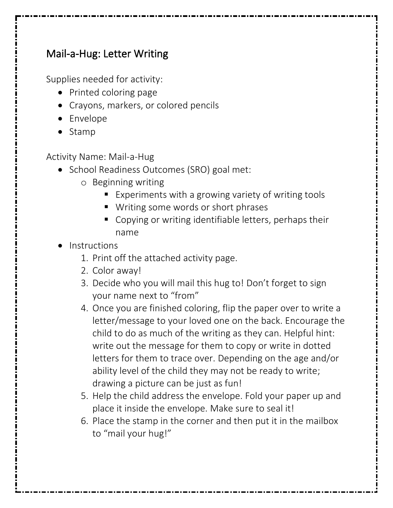## Mail-a-Hug: Letter Writing

Supplies needed for activity:

- Printed coloring page
- Crayons, markers, or colored pencils
- Envelope
- Stamp

Activity Name: Mail-a-Hug

- School Readiness Outcomes (SRO) goal met:
	- o Beginning writing
		- Experiments with a growing variety of writing tools
		- Writing some words or short phrases
		- Copying or writing identifiable letters, perhaps their name
- **Instructions** 
	- 1. Print off the attached activity page.
	- 2. Color away!
	- 3. Decide who you will mail this hug to! Don't forget to sign your name next to "from"
	- 4. Once you are finished coloring, flip the paper over to write a letter/message to your loved one on the back. Encourage the child to do as much of the writing as they can. Helpful hint: write out the message for them to copy or write in dotted letters for them to trace over. Depending on the age and/or ability level of the child they may not be ready to write; drawing a picture can be just as fun!
	- 5. Help the child address the envelope. Fold your paper up and place it inside the envelope. Make sure to seal it!
	- 6. Place the stamp in the corner and then put it in the mailbox to "mail your hug!"